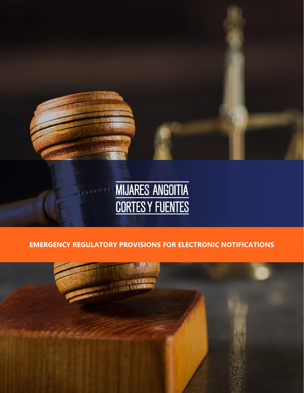

## **EMERGENCY REGULATORY PROVISIONS FOR ELECTRONIC NOTIFICATIONS**